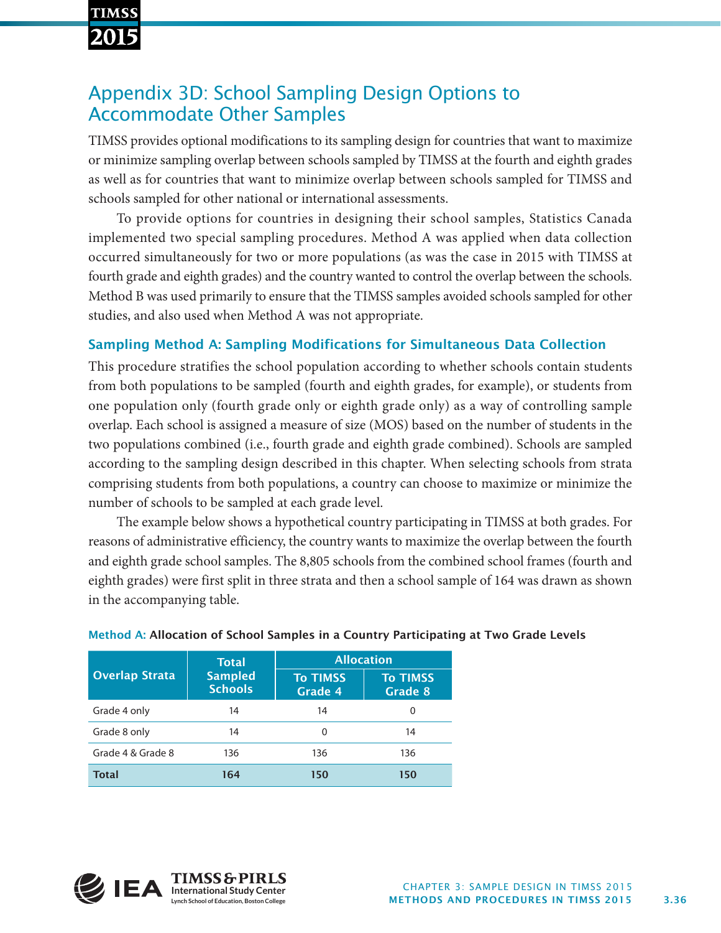# **TIMSS**

## Appendix 3D: School Sampling Design Options to Accommodate Other Samples

TIMSS provides optional modifications to its sampling design for countries that want to maximize or minimize sampling overlap between schools sampled by TIMSS at the fourth and eighth grades as well as for countries that want to minimize overlap between schools sampled for TIMSS and schools sampled for other national or international assessments.

To provide options for countries in designing their school samples, Statistics Canada implemented two special sampling procedures. Method A was applied when data collection occurred simultaneously for two or more populations (as was the case in 2015 with TIMSS at fourth grade and eighth grades) and the country wanted to control the overlap between the schools. Method B was used primarily to ensure that the TIMSS samples avoided schools sampled for other studies, and also used when Method A was not appropriate.

### Sampling Method A: Sampling Modifications for Simultaneous Data Collection

This procedure stratifies the school population according to whether schools contain students from both populations to be sampled (fourth and eighth grades, for example), or students from one population only (fourth grade only or eighth grade only) as a way of controlling sample overlap. Each school is assigned a measure of size (MOS) based on the number of students in the two populations combined (i.e., fourth grade and eighth grade combined). Schools are sampled according to the sampling design described in this chapter. When selecting schools from strata comprising students from both populations, a country can choose to maximize or minimize the number of schools to be sampled at each grade level.

The example below shows a hypothetical country participating in TIMSS at both grades. For reasons of administrative efficiency, the country wants to maximize the overlap between the fourth and eighth grade school samples. The 8,805 schools from the combined school frames (fourth and eighth grades) were first split in three strata and then a school sample of 164 was drawn as shown in the accompanying table.

| <b>Overlap Strata</b> | <b>Total</b><br><b>Sampled</b><br><b>Schools</b> | <b>Allocation</b>          |                            |
|-----------------------|--------------------------------------------------|----------------------------|----------------------------|
|                       |                                                  | <b>To TIMSS</b><br>Grade 4 | <b>To TIMSS</b><br>Grade 8 |
| Grade 4 only          | 14                                               | 14                         | 0                          |
| Grade 8 only          | 14                                               | 0                          | 14                         |
| Grade 4 & Grade 8     | 136                                              | 136                        | 136                        |
| <b>Total</b>          | 164                                              | 150                        | 150                        |

#### Method A: Allocation of School Samples in a Country Participating at Two Grade Levels

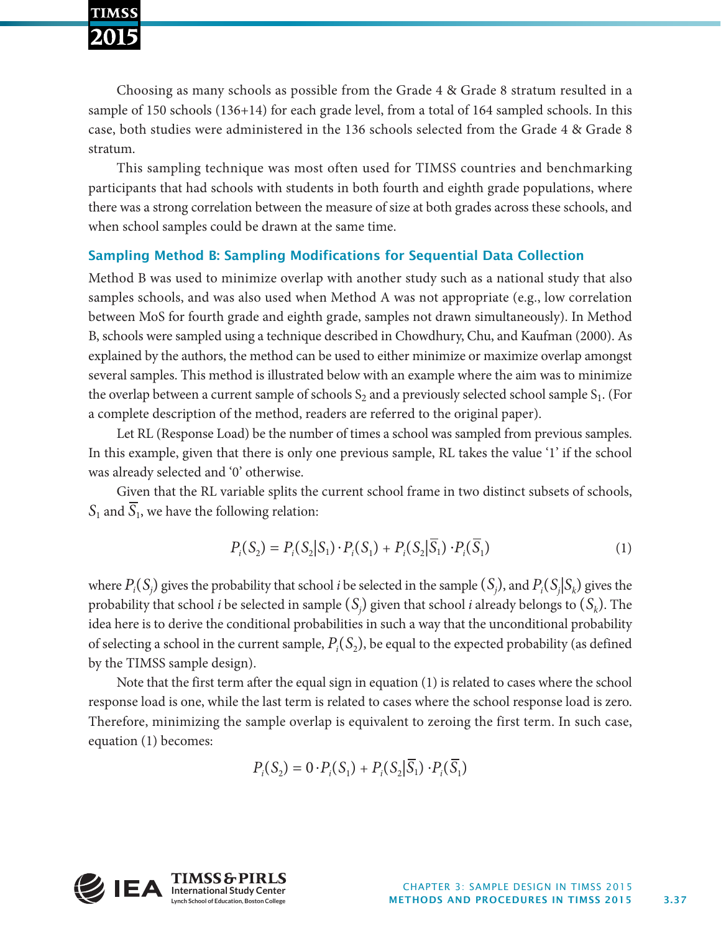Choosing as many schools as possible from the Grade 4 & Grade 8 stratum resulted in a sample of 150 schools (136+14) for each grade level, from a total of 164 sampled schools. In this case, both studies were administered in the 136 schools selected from the Grade 4 & Grade 8 stratum.

This sampling technique was most often used for TIMSS countries and benchmarking participants that had schools with students in both fourth and eighth grade populations, where there was a strong correlation between the measure of size at both grades across these schools, and when school samples could be drawn at the same time.

#### Sampling Method B: Sampling Modifications for Sequential Data Collection

Method B was used to minimize overlap with another study such as a national study that also samples schools, and was also used when Method A was not appropriate (e.g., low correlation between MoS for fourth grade and eighth grade, samples not drawn simultaneously). In Method B, schools were sampled using a technique described in Chowdhury, Chu, and Kaufman (2000). As explained by the authors, the method can be used to either minimize or maximize overlap amongst several samples. This method is illustrated below with an example where the aim was to minimize the overlap between a current sample of schools  $S_2$  and a previously selected school sample  $S_1$ . (For a complete description of the method, readers are referred to the original paper).

Let RL (Response Load) be the number of times a school was sampled from previous samples. In this example, given that there is only one previous sample, RL takes the value '1' if the school was already selected and '0' otherwise.

Given that the RL variable splits the current school frame in two distinct subsets of schools,  $S_1$  and  $\overline{S_1}$ , we have the following relation:

$$
P_i(S_2) = P_i(S_2|S_1) \cdot P_i(S_1) + P_i(S_2|\overline{S_1}) \cdot P_i(\overline{S_1})
$$
\n<sup>(1)</sup>

where  $P_i(S_j)$  gives the probability that school *i* be selected in the sample  $(S_j)$ , and  $P_i(S_j|S_k)$  gives the probability that school *i* be selected in sample  $(S_j)$  given that school *i* already belongs to  $(S_k)$ . The idea here is to derive the conditional probabilities in such a way that the unconditional probability of selecting a school in the current sample,  $P_i(S_2)$ , be equal to the expected probability (as defined by the TIMSS sample design).

Note that the first term after the equal sign in equation (1) is related to cases where the school response load is one, while the last term is related to cases where the school response load is zero. Therefore, minimizing the sample overlap is equivalent to zeroing the first term. In such case, equation (1) becomes:

$$
P_i(S_2) = 0 \cdot P_i(S_1) + P_i(S_2 | \overline{S_1}) \cdot P_i(\overline{S_1})
$$